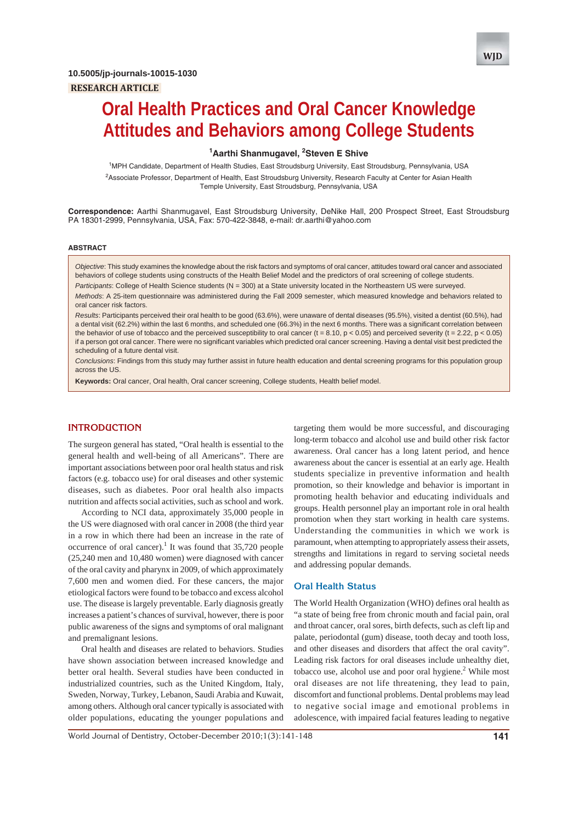

# **Oral Health Practices and Oral Cancer Knowledge Attitudes and Behaviors among College Students**

## <sup>1</sup> Aarthi Shanmugavel, <sup>2</sup> Steven E Shive

<sup>1</sup>MPH Candidate, Department of Health Studies, East Stroudsburg University, East Stroudsburg, Pennsylvania, USA <sup>2</sup>Associate Professor, Department of Health, East Stroudsburg University, Research Faculty at Center for Asian Health Temple University, East Stroudsburg, Pennsylvania, USA

**Correspondence:** Aarthi Shanmugavel, East Stroudsburg University, DeNike Hall, 200 Prospect Street, East Stroudsburg PA 18301-2999, Pennsylvania, USA, Fax: 570-422-3848, e-mail: dr.aarthi@yahoo.com

#### **ABSTRACT**

*Objective*: This study examines the knowledge about the risk factors and symptoms of oral cancer, attitudes toward oral cancer and associated behaviors of college students using constructs of the Health Belief Model and the predictors of oral screening of college students.

*Participants*: College of Health Science students (N = 300) at a State university located in the Northeastern US were surveyed.

*Methods*: A 25-item questionnaire was administered during the Fall 2009 semester, which measured knowledge and behaviors related to oral cancer risk factors.

*Results*: Participants perceived their oral health to be good (63.6%), were unaware of dental diseases (95.5%), visited a dentist (60.5%), had a dental visit (62.2%) within the last 6 months, and scheduled one (66.3%) in the next 6 months. There was a significant correlation between the behavior of use of tobacco and the perceived susceptibility to oral cancer (t = 8.10, p < 0.05) and perceived severity (t = 2.22, p < 0.05) if a person got oral cancer. There were no significant variables which predicted oral cancer screening. Having a dental visit best predicted the scheduling of a future dental visit.

*Conclusions*: Findings from this study may further assist in future health education and dental screening programs for this population group across the US.

**Keywords:** Oral cancer, Oral health, Oral cancer screening, College students, Health belief model.

## **INTRODUCTION**

The surgeon general has stated, "Oral health is essential to the general health and well-being of all Americans". There are important associations between poor oral health status and risk factors (e.g. tobacco use) for oral diseases and other systemic diseases, such as diabetes. Poor oral health also impacts nutrition and affects social activities, such as school and work.

According to NCI data, approximately 35,000 people in the US were diagnosed with oral cancer in 2008 (the third year in a row in which there had been an increase in the rate of occurrence of oral cancer).<sup>1</sup> It was found that  $35,720$  people (25,240 men and 10,480 women) were diagnosed with cancer of the oral cavity and pharynx in 2009, of which approximately 7,600 men and women died. For these cancers, the major etiological factors were found to be tobacco and excess alcohol use. The disease is largely preventable. Early diagnosis greatly increases a patient's chances of survival, however, there is poor public awareness of the signs and symptoms of oral malignant and premalignant lesions.

Oral health and diseases are related to behaviors. Studies have shown association between increased knowledge and better oral health. Several studies have been conducted in industrialized countries, such as the United Kingdom, Italy, Sweden, Norway, Turkey, Lebanon, Saudi Arabia and Kuwait, among others. Although oral cancer typically is associated with older populations, educating the younger populations and

targeting them would be more successful, and discouraging long-term tobacco and alcohol use and build other risk factor awareness. Oral cancer has a long latent period, and hence awareness about the cancer is essential at an early age. Health students specialize in preventive information and health promotion, so their knowledge and behavior is important in promoting health behavior and educating individuals and groups. Health personnel play an important role in oral health promotion when they start working in health care systems. Understanding the communities in which we work is paramount, when attempting to appropriately assess their assets, strengths and limitations in regard to serving societal needs and addressing popular demands.

#### **Oral Health Status**

The World Health Organization (WHO) defines oral health as "a state of being free from chronic mouth and facial pain, oral and throat cancer, oral sores, birth defects, such as cleft lip and palate, periodontal (gum) disease, tooth decay and tooth loss, and other diseases and disorders that affect the oral cavity". Leading risk factors for oral diseases include unhealthy diet, tobacco use, alcohol use and poor oral hygiene.<sup>2</sup> While most oral diseases are not life threatening, they lead to pain, discomfort and functional problems. Dental problems may lead to negative social image and emotional problems in adolescence, with impaired facial features leading to negative

World Journal of Dentistry, October-December 2010;1(3):141-148 **141**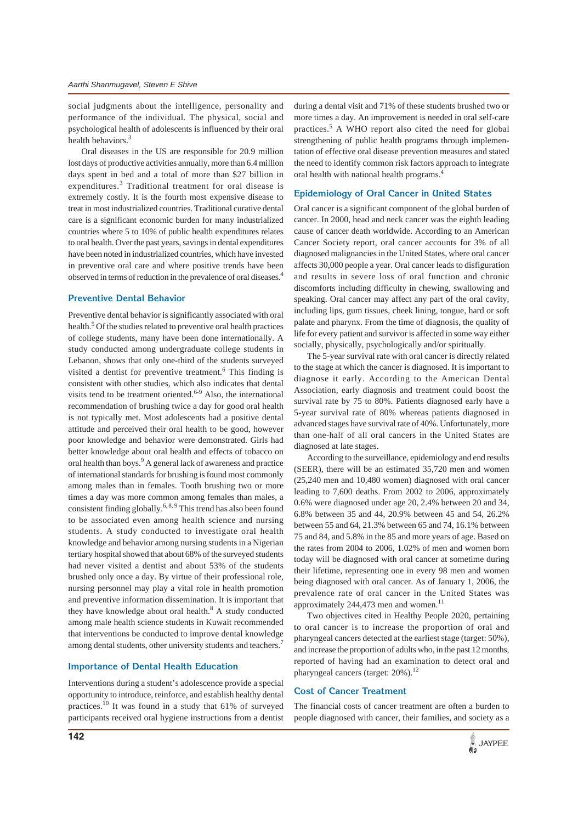social judgments about the intelligence, personality and performance of the individual. The physical, social and psychological health of adolescents is influenced by their oral health behaviors.<sup>3</sup>

Oral diseases in the US are responsible for 20.9 million lost days of productive activities annually, more than 6.4 million days spent in bed and a total of more than \$27 billion in expenditures.<sup>3</sup> Traditional treatment for oral disease is extremely costly. It is the fourth most expensive disease to treat in most industrialized countries. Traditional curative dental care is a significant economic burden for many industrialized countries where 5 to 10% of public health expenditures relates to oral health. Over the past years, savings in dental expenditures have been noted in industrialized countries, which have invested in preventive oral care and where positive trends have been observed in terms of reduction in the prevalence of oral diseases.4

#### **Preventive Dental Behavior**

Preventive dental behavior is significantly associated with oral health.<sup>5</sup> Of the studies related to preventive oral health practices of college students, many have been done internationally. A study conducted among undergraduate college students in Lebanon, shows that only one-third of the students surveyed visited a dentist for preventive treatment.<sup>6</sup> This finding is consistent with other studies, which also indicates that dental visits tend to be treatment oriented.6-9 Also, the international recommendation of brushing twice a day for good oral health is not typically met. Most adolescents had a positive dental attitude and perceived their oral health to be good, however poor knowledge and behavior were demonstrated. Girls had better knowledge about oral health and effects of tobacco on oral health than boys.<sup>9</sup> A general lack of awareness and practice of international standards for brushing is found most commonly among males than in females. Tooth brushing two or more times a day was more common among females than males, a consistent finding globally.<sup>6, 8, 9</sup> This trend has also been found to be associated even among health science and nursing students. A study conducted to investigate oral health knowledge and behavior among nursing students in a Nigerian tertiary hospital showed that about 68% of the surveyed students had never visited a dentist and about 53% of the students brushed only once a day. By virtue of their professional role, nursing personnel may play a vital role in health promotion and preventive information dissemination. It is important that they have knowledge about oral health.<sup>8</sup> A study conducted among male health science students in Kuwait recommended that interventions be conducted to improve dental knowledge among dental students, other university students and teachers.<sup>7</sup>

## **Importance of Dental Health Education**

Interventions during a student's adolescence provide a special opportunity to introduce, reinforce, and establish healthy dental practices.10 It was found in a study that 61% of surveyed participants received oral hygiene instructions from a dentist during a dental visit and 71% of these students brushed two or more times a day. An improvement is needed in oral self-care practices.<sup>5</sup> A WHO report also cited the need for global strengthening of public health programs through implementation of effective oral disease prevention measures and stated the need to identify common risk factors approach to integrate oral health with national health programs.4

### **Epidemiology of Oral Cancer in United States**

Oral cancer is a significant component of the global burden of cancer. In 2000, head and neck cancer was the eighth leading cause of cancer death worldwide. According to an American Cancer Society report, oral cancer accounts for 3% of all diagnosed malignancies in the United States, where oral cancer affects 30,000 people a year. Oral cancer leads to disfiguration and results in severe loss of oral function and chronic discomforts including difficulty in chewing, swallowing and speaking. Oral cancer may affect any part of the oral cavity, including lips, gum tissues, cheek lining, tongue, hard or soft palate and pharynx. From the time of diagnosis, the quality of life for every patient and survivor is affected in some way either socially, physically, psychologically and/or spiritually.

The 5-year survival rate with oral cancer is directly related to the stage at which the cancer is diagnosed. It is important to diagnose it early. According to the American Dental Association, early diagnosis and treatment could boost the survival rate by 75 to 80%. Patients diagnosed early have a 5-year survival rate of 80% whereas patients diagnosed in advanced stages have survival rate of 40%. Unfortunately, more than one-half of all oral cancers in the United States are diagnosed at late stages.

According to the surveillance, epidemiology and end results (SEER), there will be an estimated 35,720 men and women (25,240 men and 10,480 women) diagnosed with oral cancer leading to 7,600 deaths. From 2002 to 2006, approximately 0.6% were diagnosed under age 20, 2.4% between 20 and 34, 6.8% between 35 and 44, 20.9% between 45 and 54, 26.2% between 55 and 64, 21.3% between 65 and 74, 16.1% between 75 and 84, and 5.8% in the 85 and more years of age. Based on the rates from 2004 to 2006, 1.02% of men and women born today will be diagnosed with oral cancer at sometime during their lifetime, representing one in every 98 men and women being diagnosed with oral cancer. As of January 1, 2006, the prevalence rate of oral cancer in the United States was approximately 244,473 men and women.<sup>11</sup>

Two objectives cited in Healthy People 2020, pertaining to oral cancer is to increase the proportion of oral and pharyngeal cancers detected at the earliest stage (target: 50%), and increase the proportion of adults who, in the past 12 months, reported of having had an examination to detect oral and pharyngeal cancers (target: 20%).<sup>12</sup>

## **Cost of Cancer Treatment**

The financial costs of cancer treatment are often a burden to people diagnosed with cancer, their families, and society as a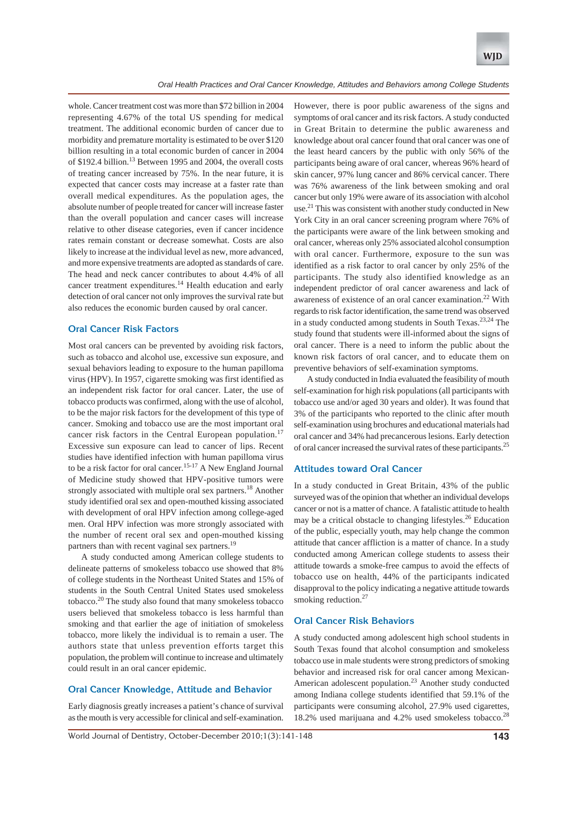

whole. Cancer treatment cost was more than \$72 billion in 2004 representing 4.67% of the total US spending for medical treatment. The additional economic burden of cancer due to morbidity and premature mortality is estimated to be over \$120 billion resulting in a total economic burden of cancer in 2004 of \$192.4 billion.<sup>13</sup> Between 1995 and 2004, the overall costs of treating cancer increased by 75%. In the near future, it is expected that cancer costs may increase at a faster rate than overall medical expenditures. As the population ages, the absolute number of people treated for cancer will increase faster than the overall population and cancer cases will increase relative to other disease categories, even if cancer incidence rates remain constant or decrease somewhat. Costs are also likely to increase at the individual level as new, more advanced, and more expensive treatments are adopted as standards of care. The head and neck cancer contributes to about 4.4% of all cancer treatment expenditures.<sup>14</sup> Health education and early detection of oral cancer not only improves the survival rate but also reduces the economic burden caused by oral cancer.

## **Oral Cancer Risk Factors**

Most oral cancers can be prevented by avoiding risk factors, such as tobacco and alcohol use, excessive sun exposure, and sexual behaviors leading to exposure to the human papilloma virus (HPV). In 1957, cigarette smoking was first identified as an independent risk factor for oral cancer. Later, the use of tobacco products was confirmed, along with the use of alcohol, to be the major risk factors for the development of this type of cancer. Smoking and tobacco use are the most important oral cancer risk factors in the Central European population.<sup>17</sup> Excessive sun exposure can lead to cancer of lips. Recent studies have identified infection with human papilloma virus to be a risk factor for oral cancer.<sup>15-17</sup> A New England Journal of Medicine study showed that HPV-positive tumors were strongly associated with multiple oral sex partners.<sup>18</sup> Another study identified oral sex and open-mouthed kissing associated with development of oral HPV infection among college-aged men. Oral HPV infection was more strongly associated with the number of recent oral sex and open-mouthed kissing partners than with recent vaginal sex partners.<sup>19</sup>

A study conducted among American college students to delineate patterns of smokeless tobacco use showed that 8% of college students in the Northeast United States and 15% of students in the South Central United States used smokeless tobacco.20 The study also found that many smokeless tobacco users believed that smokeless tobacco is less harmful than smoking and that earlier the age of initiation of smokeless tobacco, more likely the individual is to remain a user. The authors state that unless prevention efforts target this population, the problem will continue to increase and ultimately could result in an oral cancer epidemic.

## **Oral Cancer Knowledge, Attitude and Behavior**

Early diagnosis greatly increases a patient's chance of survival as the mouth is very accessible for clinical and self-examination.

However, there is poor public awareness of the signs and symptoms of oral cancer and its risk factors. A study conducted in Great Britain to determine the public awareness and knowledge about oral cancer found that oral cancer was one of the least heard cancers by the public with only 56% of the participants being aware of oral cancer, whereas 96% heard of skin cancer, 97% lung cancer and 86% cervical cancer. There was 76% awareness of the link between smoking and oral cancer but only 19% were aware of its association with alcohol use. $^{21}$  This was consistent with another study conducted in New York City in an oral cancer screening program where 76% of the participants were aware of the link between smoking and oral cancer, whereas only 25% associated alcohol consumption with oral cancer. Furthermore, exposure to the sun was identified as a risk factor to oral cancer by only 25% of the participants. The study also identified knowledge as an independent predictor of oral cancer awareness and lack of awareness of existence of an oral cancer examination.<sup>22</sup> With regards to risk factor identification, the same trend was observed in a study conducted among students in South Texas.23,24 The study found that students were ill-informed about the signs of oral cancer. There is a need to inform the public about the known risk factors of oral cancer, and to educate them on preventive behaviors of self-examination symptoms.

A study conducted in India evaluated the feasibility of mouth self-examination for high risk populations (all participants with tobacco use and/or aged 30 years and older). It was found that 3% of the participants who reported to the clinic after mouth self-examination using brochures and educational materials had oral cancer and 34% had precancerous lesions. Early detection of oral cancer increased the survival rates of these participants.25

## **Attitudes toward Oral Cancer**

In a study conducted in Great Britain, 43% of the public surveyed was of the opinion that whether an individual develops cancer or not is a matter of chance. A fatalistic attitude to health may be a critical obstacle to changing lifestyles.<sup>26</sup> Education of the public, especially youth, may help change the common attitude that cancer affliction is a matter of chance. In a study conducted among American college students to assess their attitude towards a smoke-free campus to avoid the effects of tobacco use on health, 44% of the participants indicated disapproval to the policy indicating a negative attitude towards smoking reduction.<sup>27</sup>

## **Oral Cancer Risk Behaviors**

A study conducted among adolescent high school students in South Texas found that alcohol consumption and smokeless tobacco use in male students were strong predictors of smoking behavior and increased risk for oral cancer among Mexican-American adolescent population.23 Another study conducted among Indiana college students identified that 59.1% of the participants were consuming alcohol, 27.9% used cigarettes, 18.2% used marijuana and 4.2% used smokeless tobacco.28

World Journal of Dentistry, October-December 2010;1(3):141-148 **143**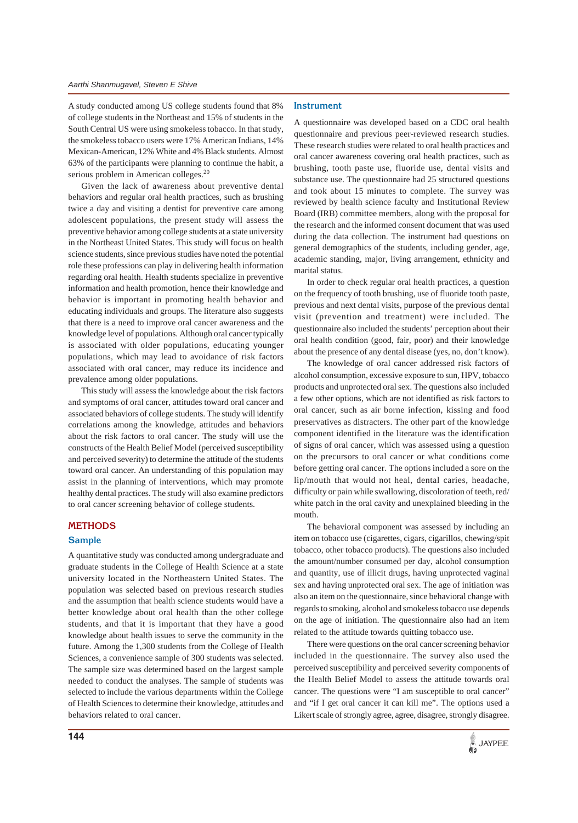A study conducted among US college students found that 8% of college students in the Northeast and 15% of students in the South Central US were using smokeless tobacco. In that study, the smokeless tobacco users were 17% American Indians, 14% Mexican-American, 12% White and 4% Black students. Almost 63% of the participants were planning to continue the habit, a serious problem in American colleges.<sup>20</sup>

Given the lack of awareness about preventive dental behaviors and regular oral health practices, such as brushing twice a day and visiting a dentist for preventive care among adolescent populations, the present study will assess the preventive behavior among college students at a state university in the Northeast United States. This study will focus on health science students, since previous studies have noted the potential role these professions can play in delivering health information regarding oral health. Health students specialize in preventive information and health promotion, hence their knowledge and behavior is important in promoting health behavior and educating individuals and groups. The literature also suggests that there is a need to improve oral cancer awareness and the knowledge level of populations. Although oral cancer typically is associated with older populations, educating younger populations, which may lead to avoidance of risk factors associated with oral cancer, may reduce its incidence and prevalence among older populations.

This study will assess the knowledge about the risk factors and symptoms of oral cancer, attitudes toward oral cancer and associated behaviors of college students. The study will identify correlations among the knowledge, attitudes and behaviors about the risk factors to oral cancer. The study will use the constructs of the Health Belief Model (perceived susceptibility and perceived severity) to determine the attitude of the students toward oral cancer. An understanding of this population may assist in the planning of interventions, which may promote healthy dental practices. The study will also examine predictors to oral cancer screening behavior of college students.

#### **METHODS**

#### **Sample**

A quantitative study was conducted among undergraduate and graduate students in the College of Health Science at a state university located in the Northeastern United States. The population was selected based on previous research studies and the assumption that health science students would have a better knowledge about oral health than the other college students, and that it is important that they have a good knowledge about health issues to serve the community in the future. Among the 1,300 students from the College of Health Sciences, a convenience sample of 300 students was selected. The sample size was determined based on the largest sample needed to conduct the analyses. The sample of students was selected to include the various departments within the College of Health Sciences to determine their knowledge, attitudes and behaviors related to oral cancer.

#### **Instrument**

A questionnaire was developed based on a CDC oral health questionnaire and previous peer-reviewed research studies. These research studies were related to oral health practices and oral cancer awareness covering oral health practices, such as brushing, tooth paste use, fluoride use, dental visits and substance use. The questionnaire had 25 structured questions and took about 15 minutes to complete. The survey was reviewed by health science faculty and Institutional Review Board (IRB) committee members, along with the proposal for the research and the informed consent document that was used during the data collection. The instrument had questions on general demographics of the students, including gender, age, academic standing, major, living arrangement, ethnicity and marital status.

In order to check regular oral health practices, a question on the frequency of tooth brushing, use of fluoride tooth paste, previous and next dental visits, purpose of the previous dental visit (prevention and treatment) were included. The questionnaire also included the students' perception about their oral health condition (good, fair, poor) and their knowledge about the presence of any dental disease (yes, no, don't know).

The knowledge of oral cancer addressed risk factors of alcohol consumption, excessive exposure to sun, HPV, tobacco products and unprotected oral sex. The questions also included a few other options, which are not identified as risk factors to oral cancer, such as air borne infection, kissing and food preservatives as distracters. The other part of the knowledge component identified in the literature was the identification of signs of oral cancer, which was assessed using a question on the precursors to oral cancer or what conditions come before getting oral cancer. The options included a sore on the lip/mouth that would not heal, dental caries, headache, difficulty or pain while swallowing, discoloration of teeth, red/ white patch in the oral cavity and unexplained bleeding in the mouth.

The behavioral component was assessed by including an item on tobacco use (cigarettes, cigars, cigarillos, chewing/spit tobacco, other tobacco products). The questions also included the amount/number consumed per day, alcohol consumption and quantity, use of illicit drugs, having unprotected vaginal sex and having unprotected oral sex. The age of initiation was also an item on the questionnaire, since behavioral change with regards to smoking, alcohol and smokeless tobacco use depends on the age of initiation. The questionnaire also had an item related to the attitude towards quitting tobacco use.

There were questions on the oral cancer screening behavior included in the questionnaire. The survey also used the perceived susceptibility and perceived severity components of the Health Belief Model to assess the attitude towards oral cancer. The questions were "I am susceptible to oral cancer" and "if I get oral cancer it can kill me". The options used a Likert scale of strongly agree, agree, disagree, strongly disagree.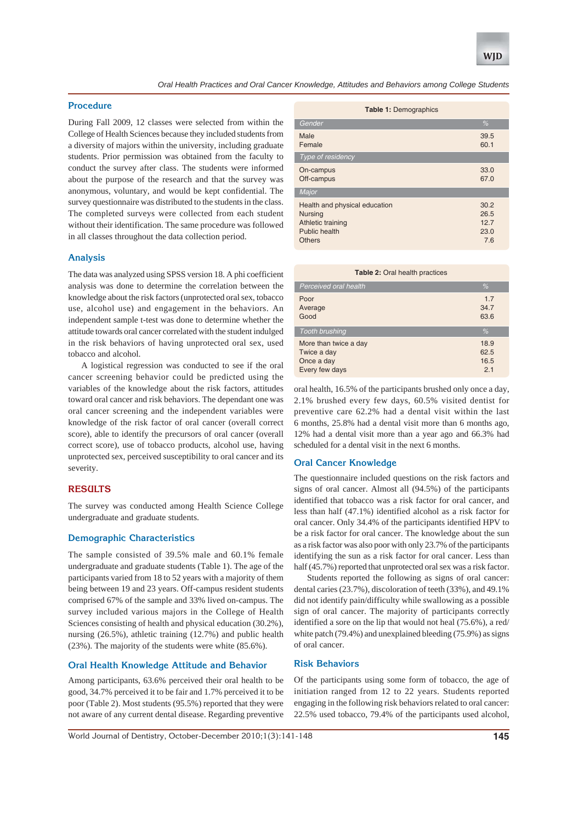

*Oral Health Practices and Oral Cancer Knowledge, Attitudes and Behaviors among College Students*

## **Procedure**

During Fall 2009, 12 classes were selected from within the College of Health Sciences because they included students from a diversity of majors within the university, including graduate students. Prior permission was obtained from the faculty to conduct the survey after class. The students were informed about the purpose of the research and that the survey was anonymous, voluntary, and would be kept confidential. The survey questionnaire was distributed to the students in the class. The completed surveys were collected from each student without their identification. The same procedure was followed in all classes throughout the data collection period.

## **Analysis**

The data was analyzed using SPSS version 18. A phi coefficient analysis was done to determine the correlation between the knowledge about the risk factors (unprotected oral sex, tobacco use, alcohol use) and engagement in the behaviors. An independent sample t-test was done to determine whether the attitude towards oral cancer correlated with the student indulged in the risk behaviors of having unprotected oral sex, used tobacco and alcohol.

A logistical regression was conducted to see if the oral cancer screening behavior could be predicted using the variables of the knowledge about the risk factors, attitudes toward oral cancer and risk behaviors. The dependant one was oral cancer screening and the independent variables were knowledge of the risk factor of oral cancer (overall correct score), able to identify the precursors of oral cancer (overall correct score), use of tobacco products, alcohol use, having unprotected sex, perceived susceptibility to oral cancer and its severity.

## **RESULTS**

The survey was conducted among Health Science College undergraduate and graduate students.

## **Demographic Characteristics**

The sample consisted of 39.5% male and 60.1% female undergraduate and graduate students (Table 1). The age of the participants varied from 18 to 52 years with a majority of them being between 19 and 23 years. Off-campus resident students comprised 67% of the sample and 33% lived on-campus. The survey included various majors in the College of Health Sciences consisting of health and physical education (30.2%), nursing (26.5%), athletic training (12.7%) and public health (23%). The majority of the students were white (85.6%).

## **Oral Health Knowledge Attitude and Behavior**

Among participants, 63.6% perceived their oral health to be good, 34.7% perceived it to be fair and 1.7% perceived it to be poor (Table 2). Most students (95.5%) reported that they were not aware of any current dental disease. Regarding preventive

| <b>Table 1: Demographics</b>                                                                           |                                     |  |  |  |
|--------------------------------------------------------------------------------------------------------|-------------------------------------|--|--|--|
| Gender                                                                                                 | $\%$                                |  |  |  |
| Male<br>Female                                                                                         | 39.5<br>60.1                        |  |  |  |
| Type of residency                                                                                      |                                     |  |  |  |
| On-campus<br>Off-campus                                                                                | 33.0<br>67.0                        |  |  |  |
| Major                                                                                                  |                                     |  |  |  |
| Health and physical education<br><b>Nursing</b><br>Athletic training<br>Public health<br><b>Others</b> | 30.2<br>26.5<br>12.7<br>23.0<br>7.6 |  |  |  |

#### **Table 2:** Oral health practices

| Perceived oral health                                                | %                           |
|----------------------------------------------------------------------|-----------------------------|
| Poor<br>Average<br>Good                                              | 1.7<br>34.7<br>63.6         |
| <b>Tooth brushing</b>                                                | $\%$                        |
| More than twice a day<br>Twice a day<br>Once a day<br>Every few days | 18.9<br>62.5<br>16.5<br>2.1 |

oral health, 16.5% of the participants brushed only once a day, 2.1% brushed every few days, 60.5% visited dentist for preventive care 62.2% had a dental visit within the last 6 months, 25.8% had a dental visit more than 6 months ago, 12% had a dental visit more than a year ago and 66.3% had scheduled for a dental visit in the next 6 months.

## **Oral Cancer Knowledge**

The questionnaire included questions on the risk factors and signs of oral cancer. Almost all (94.5%) of the participants identified that tobacco was a risk factor for oral cancer, and less than half (47.1%) identified alcohol as a risk factor for oral cancer. Only 34.4% of the participants identified HPV to be a risk factor for oral cancer. The knowledge about the sun as a risk factor was also poor with only 23.7% of the participants identifying the sun as a risk factor for oral cancer. Less than half (45.7%) reported that unprotected oral sex was a risk factor.

Students reported the following as signs of oral cancer: dental caries (23.7%), discoloration of teeth (33%), and 49.1% did not identify pain/difficulty while swallowing as a possible sign of oral cancer. The majority of participants correctly identified a sore on the lip that would not heal (75.6%), a red/ white patch (79.4%) and unexplained bleeding (75.9%) as signs of oral cancer.

## **Risk Behaviors**

Of the participants using some form of tobacco, the age of initiation ranged from 12 to 22 years. Students reported engaging in the following risk behaviors related to oral cancer: 22.5% used tobacco, 79.4% of the participants used alcohol,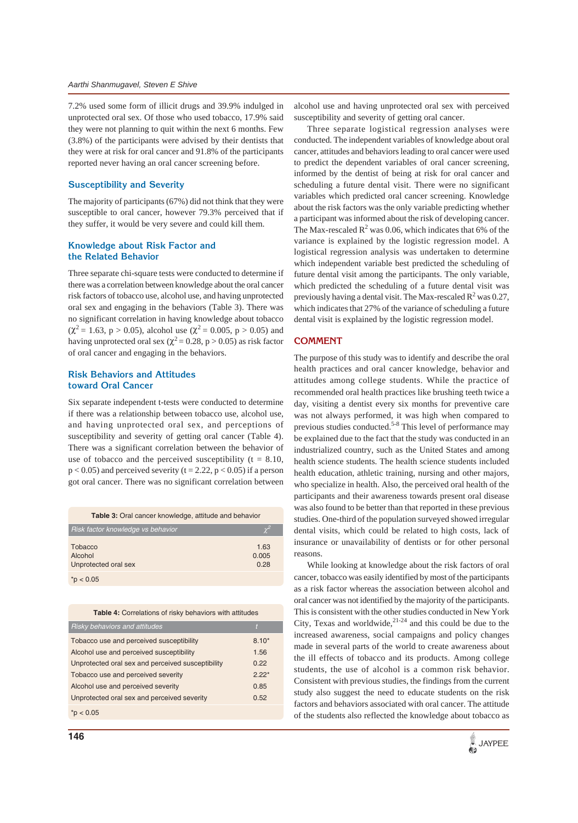7.2% used some form of illicit drugs and 39.9% indulged in unprotected oral sex. Of those who used tobacco, 17.9% said they were not planning to quit within the next 6 months. Few (3.8%) of the participants were advised by their dentists that they were at risk for oral cancer and 91.8% of the participants reported never having an oral cancer screening before.

# **Susceptibility and Severity**

The majority of participants (67%) did not think that they were susceptible to oral cancer, however 79.3% perceived that if they suffer, it would be very severe and could kill them.

## **Knowledge about Risk Factor and the Related Behavior**

Three separate chi-square tests were conducted to determine if there was a correlation between knowledge about the oral cancer risk factors of tobacco use, alcohol use, and having unprotected oral sex and engaging in the behaviors (Table 3). There was no significant correlation in having knowledge about tobacco  $(\chi^2 = 1.63, p > 0.05)$ , alcohol use  $(\chi^2 = 0.005, p > 0.05)$  and having unprotected oral sex ( $\chi^2$  = 0.28, p > 0.05) as risk factor of oral cancer and engaging in the behaviors.

## **Risk Behaviors and Attitudes toward Oral Cancer**

Six separate independent t-tests were conducted to determine if there was a relationship between tobacco use, alcohol use, and having unprotected oral sex, and perceptions of susceptibility and severity of getting oral cancer (Table 4). There was a significant correlation between the behavior of use of tobacco and the perceived susceptibility ( $t = 8.10$ ,  $p < 0.05$ ) and perceived severity (t = 2.22,  $p < 0.05$ ) if a person got oral cancer. There was no significant correlation between

|  |  | Table 3: Oral cancer knowledge, attitude and behavior |  |
|--|--|-------------------------------------------------------|--|
|  |  |                                                       |  |

| Risk factor knowledge vs behavior          | $\gamma^2$            |
|--------------------------------------------|-----------------------|
| Tobacco<br>Alcohol<br>Unprotected oral sex | 1.63<br>0.005<br>0.28 |
| $^*p < 0.05$                               |                       |

**Table 4:** Correlations of risky behaviors with attitudes

| <b>Risky behaviors and attitudes</b>              |         |
|---------------------------------------------------|---------|
| Tobacco use and perceived susceptibility          | $8.10*$ |
| Alcohol use and perceived susceptibility          | 1.56    |
| Unprotected oral sex and perceived susceptibility | 0.22    |
| Tobacco use and perceived severity                | $2.22*$ |
| Alcohol use and perceived severity                | 0.85    |
| Unprotected oral sex and perceived severity       | 0.52    |
| p < 0.05                                          |         |

alcohol use and having unprotected oral sex with perceived susceptibility and severity of getting oral cancer.

Three separate logistical regression analyses were conducted. The independent variables of knowledge about oral cancer, attitudes and behaviors leading to oral cancer were used to predict the dependent variables of oral cancer screening, informed by the dentist of being at risk for oral cancer and scheduling a future dental visit. There were no significant variables which predicted oral cancer screening. Knowledge about the risk factors was the only variable predicting whether a participant was informed about the risk of developing cancer. The Max-rescaled  $R^2$  was 0.06, which indicates that 6% of the variance is explained by the logistic regression model. A logistical regression analysis was undertaken to determine which independent variable best predicted the scheduling of future dental visit among the participants. The only variable, which predicted the scheduling of a future dental visit was previously having a dental visit. The Max-rescaled  $R^2$  was 0.27, which indicates that 27% of the variance of scheduling a future dental visit is explained by the logistic regression model.

## **COMMENT**

The purpose of this study was to identify and describe the oral health practices and oral cancer knowledge, behavior and attitudes among college students. While the practice of recommended oral health practices like brushing teeth twice a day, visiting a dentist every six months for preventive care was not always performed, it was high when compared to previous studies conducted.<sup>5-8</sup> This level of performance may be explained due to the fact that the study was conducted in an industrialized country, such as the United States and among health science students. The health science students included health education, athletic training, nursing and other majors, who specialize in health. Also, the perceived oral health of the participants and their awareness towards present oral disease was also found to be better than that reported in these previous studies. One-third of the population surveyed showed irregular dental visits, which could be related to high costs, lack of insurance or unavailability of dentists or for other personal reasons.

While looking at knowledge about the risk factors of oral cancer, tobacco was easily identified by most of the participants as a risk factor whereas the association between alcohol and oral cancer was not identified by the majority of the participants. This is consistent with the other studies conducted in New York City, Texas and worldwide, $2^{1-24}$  and this could be due to the increased awareness, social campaigns and policy changes made in several parts of the world to create awareness about the ill effects of tobacco and its products. Among college students, the use of alcohol is a common risk behavior. Consistent with previous studies, the findings from the current study also suggest the need to educate students on the risk factors and behaviors associated with oral cancer. The attitude of the students also reflected the knowledge about tobacco as

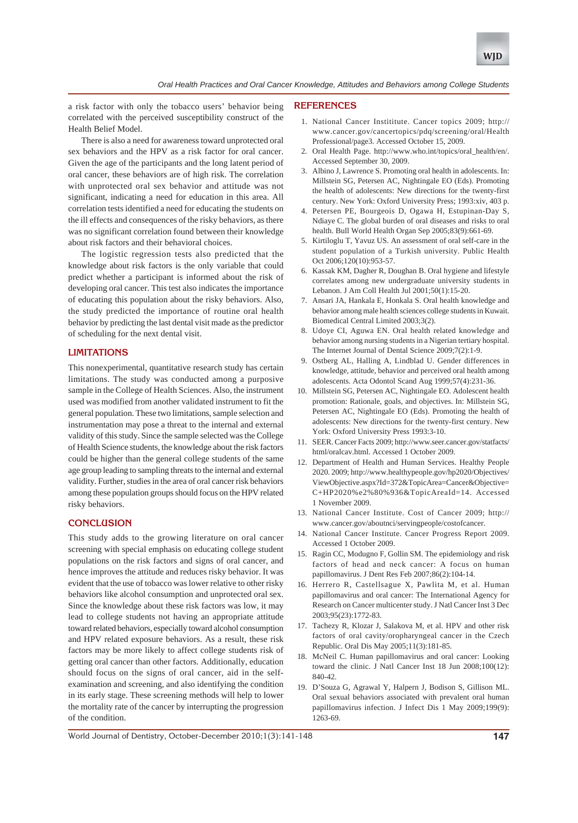

a risk factor with only the tobacco users' behavior being correlated with the perceived susceptibility construct of the Health Belief Model.

There is also a need for awareness toward unprotected oral sex behaviors and the HPV as a risk factor for oral cancer. Given the age of the participants and the long latent period of oral cancer, these behaviors are of high risk. The correlation with unprotected oral sex behavior and attitude was not significant, indicating a need for education in this area. All correlation tests identified a need for educating the students on the ill effects and consequences of the risky behaviors, as there was no significant correlation found between their knowledge about risk factors and their behavioral choices.

The logistic regression tests also predicted that the knowledge about risk factors is the only variable that could predict whether a participant is informed about the risk of developing oral cancer. This test also indicates the importance of educating this population about the risky behaviors. Also, the study predicted the importance of routine oral health behavior by predicting the last dental visit made as the predictor of scheduling for the next dental visit.

#### **LIMITATIONS**

This nonexperimental, quantitative research study has certain limitations. The study was conducted among a purposive sample in the College of Health Sciences. Also, the instrument used was modified from another validated instrument to fit the general population. These two limitations, sample selection and instrumentation may pose a threat to the internal and external validity of this study. Since the sample selected was the College of Health Science students, the knowledge about the risk factors could be higher than the general college students of the same age group leading to sampling threats to the internal and external validity. Further, studies in the area of oral cancer risk behaviors among these population groups should focus on the HPV related risky behaviors.

### **CONCLUSION**

This study adds to the growing literature on oral cancer screening with special emphasis on educating college student populations on the risk factors and signs of oral cancer, and hence improves the attitude and reduces risky behavior. It was evident that the use of tobacco was lower relative to other risky behaviors like alcohol consumption and unprotected oral sex. Since the knowledge about these risk factors was low, it may lead to college students not having an appropriate attitude toward related behaviors, especially toward alcohol consumption and HPV related exposure behaviors. As a result, these risk factors may be more likely to affect college students risk of getting oral cancer than other factors. Additionally, education should focus on the signs of oral cancer, aid in the selfexamination and screening, and also identifying the condition in its early stage. These screening methods will help to lower the mortality rate of the cancer by interrupting the progression of the condition.

#### **REFERENCES**

- 1. National Cancer Instititute. Cancer topics 2009; http:// www.cancer.gov/cancertopics/pdq/screening/oral/Health Professional/page3. Accessed October 15, 2009.
- 2. Oral Health Page. http://www.who.int/topics/oral\_health/en/. Accessed September 30, 2009.
- 3. Albino J, Lawrence S. Promoting oral health in adolescents. In: Millstein SG, Petersen AC, Nightingale EO (Eds). Promoting the health of adolescents: New directions for the twenty-first century. New York: Oxford University Press; 1993:xiv, 403 p.
- 4. Petersen PE, Bourgeois D, Ogawa H, Estupinan-Day S, Ndiaye C. The global burden of oral diseases and risks to oral health. Bull World Health Organ Sep 2005;83(9):661-69.
- 5. Kirtiloglu T, Yavuz US. An assessment of oral self-care in the student population of a Turkish university. Public Health Oct 2006;120(10):953-57.
- 6. Kassak KM, Dagher R, Doughan B. Oral hygiene and lifestyle correlates among new undergraduate university students in Lebanon. J Am Coll Health Jul 2001;50(1):15-20.
- 7. Ansari JA, Hankala E, Honkala S. Oral health knowledge and behavior among male health sciences college students in Kuwait. Biomedical Central Limited 2003;3(2).
- 8. Udoye CI, Aguwa EN. Oral health related knowledge and behavior among nursing students in a Nigerian tertiary hospital. The Internet Journal of Dental Science 2009;7(2):1-9.
- 9. Ostberg AL, Halling A, Lindblad U. Gender differences in knowledge, attitude, behavior and perceived oral health among adolescents. Acta Odontol Scand Aug 1999;57(4):231-36.
- 10. Millstein SG, Petersen AC, Nightingale EO. Adolescent health promotion: Rationale, goals, and objectives. In: Millstein SG, Petersen AC, Nightingale EO (Eds). Promoting the health of adolescents: New directions for the twenty-first century. New York: Oxford University Press 1993:3-10.
- 11. SEER. Cancer Facts 2009; http://www.seer.cancer.gov/statfacts/ html/oralcav.html. Accessed 1 October 2009.
- 12. Department of Health and Human Services. Healthy People 2020. 2009; http://www.healthypeople.gov/hp2020/Objectives/ ViewObjective.aspx?Id=372&TopicArea=Cancer&Objective= C+HP2020%e2%80%936&TopicAreaId=14. Accessed 1 November 2009.
- 13. National Cancer Institute. Cost of Cancer 2009; http:// www.cancer.gov/aboutnci/servingpeople/costofcancer.
- 14. National Cancer Institute. Cancer Progress Report 2009. Accessed 1 October 2009.
- 15. Ragin CC, Modugno F, Gollin SM. The epidemiology and risk factors of head and neck cancer: A focus on human papillomavirus. J Dent Res Feb 2007;86(2):104-14.
- 16. Herrero R, Castellsague X, Pawlita M, et al. Human papillomavirus and oral cancer: The International Agency for Research on Cancer multicenter study. J Natl Cancer Inst 3 Dec 2003;95(23):1772-83.
- 17. Tachezy R, Klozar J, Salakova M, et al. HPV and other risk factors of oral cavity/oropharyngeal cancer in the Czech Republic. Oral Dis May 2005;11(3):181-85.
- 18. McNeil C. Human papillomavirus and oral cancer: Looking toward the clinic. J Natl Cancer Inst 18 Jun 2008;100(12): 840-42.
- 19. D'Souza G, Agrawal Y, Halpern J, Bodison S, Gillison ML. Oral sexual behaviors associated with prevalent oral human papillomavirus infection. J Infect Dis 1 May 2009;199(9): 1263-69.

World Journal of Dentistry, October-December 2010;1(3):141-148 **147**